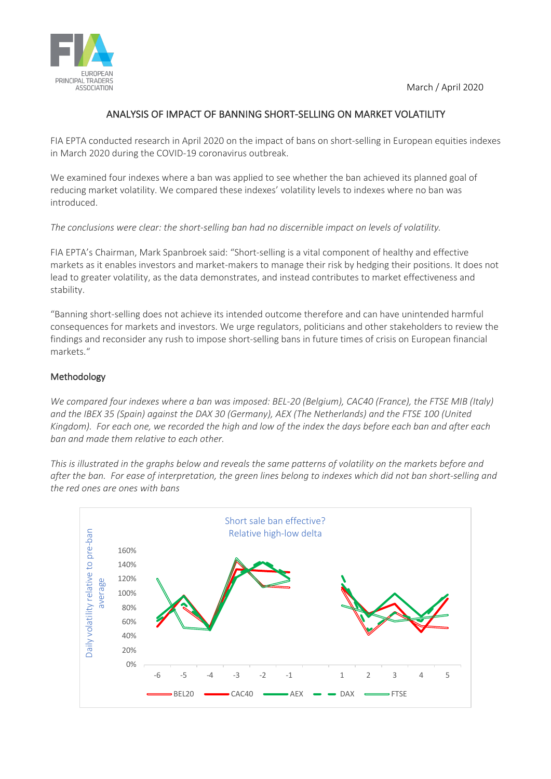

## ANALYSIS OF IMPACT OF BANNING SHORT-SELLING ON MARKET VOLATILITY

FIA EPTA conducted research in April 2020 on the impact of bans on short-selling in European equities indexes in March 2020 during the COVID-19 coronavirus outbreak.

We examined four indexes where a ban was applied to see whether the ban achieved its planned goal of reducing market volatility. We compared these indexes' volatility levels to indexes where no ban was introduced.

## *The conclusions were clear: the short-selling ban had no discernible impact on levels of volatility.*

FIA EPTA's Chairman, Mark Spanbroek said: "Short-selling is a vital component of healthy and effective markets as it enables investors and market-makers to manage their risk by hedging their positions. It does not lead to greater volatility, as the data demonstrates, and instead contributes to market effectiveness and stability.

"Banning short-selling does not achieve its intended outcome therefore and can have unintended harmful consequences for markets and investors. We urge regulators, politicians and other stakeholders to review the findings and reconsider any rush to impose short-selling bans in future times of crisis on European financial markets."

## Methodology

*We compared four indexes where a ban was imposed: BEL-20 (Belgium), CAC40 (France), the FTSE MIB (Italy) and the IBEX 35 (Spain) against the DAX 30 (Germany), AEX (The Netherlands) and the FTSE 100 (United Kingdom). For each one, we recorded the high and low of the index the days before each ban and after each ban and made them relative to each other.* 

*This is illustrated in the graphs below and reveals the same patterns of volatility on the markets before and after the ban. For ease of interpretation, the green lines belong to indexes which did not ban short-selling and the red ones are ones with bans*